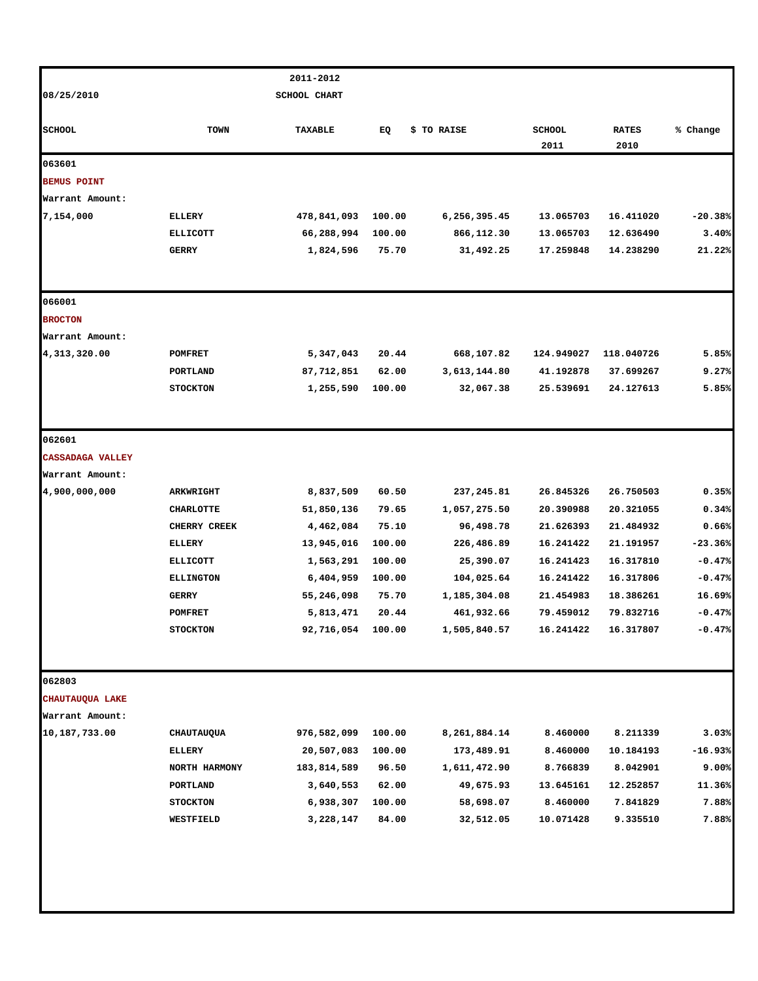|                         |                     | 2011-2012           |        |              |                       |                      |           |
|-------------------------|---------------------|---------------------|--------|--------------|-----------------------|----------------------|-----------|
| 08/25/2010              |                     | <b>SCHOOL CHART</b> |        |              |                       |                      |           |
| <b>SCHOOL</b>           | <b>TOWN</b>         | TAXABLE             | EQ     | \$ TO RAISE  | <b>SCHOOL</b><br>2011 | <b>RATES</b><br>2010 | % Change  |
| 063601                  |                     |                     |        |              |                       |                      |           |
| <b>BEMUS POINT</b>      |                     |                     |        |              |                       |                      |           |
| Warrant Amount:         |                     |                     |        |              |                       |                      |           |
| 7,154,000               | <b>ELLERY</b>       | 478,841,093         | 100.00 | 6,256,395.45 | 13.065703             | 16.411020            | $-20.38%$ |
|                         | <b>ELLICOTT</b>     | 66,288,994          | 100.00 | 866,112.30   | 13.065703             | 12.636490            | 3.40%     |
|                         | <b>GERRY</b>        | 1,824,596           | 75.70  | 31,492.25    | 17.259848             | 14.238290            | 21.22%    |
| 066001                  |                     |                     |        |              |                       |                      |           |
| <b>BROCTON</b>          |                     |                     |        |              |                       |                      |           |
| Warrant Amount:         |                     |                     |        |              |                       |                      |           |
| 4,313,320.00            | <b>POMFRET</b>      | 5,347,043           | 20.44  | 668,107.82   | 124.949027            | 118.040726           | 5.85%     |
|                         | PORTLAND            | 87,712,851          | 62.00  | 3,613,144.80 | 41.192878             | 37.699267            | 9.27%     |
|                         | <b>STOCKTON</b>     | 1,255,590           | 100.00 | 32,067.38    | 25.539691             | 24.127613            | 5.85%     |
| 062601                  |                     |                     |        |              |                       |                      |           |
| <b>CASSADAGA VALLEY</b> |                     |                     |        |              |                       |                      |           |
| Warrant Amount:         |                     |                     |        |              |                       |                      |           |
| 4,900,000,000           | ARKWRIGHT           | 8,837,509           | 60.50  | 237,245.81   | 26.845326             | 26.750503            | 0.35%     |
|                         | <b>CHARLOTTE</b>    | 51,850,136          | 79.65  | 1,057,275.50 | 20.390988             | 20.321055            | 0.34%     |
|                         | <b>CHERRY CREEK</b> | 4,462,084           | 75.10  | 96,498.78    | 21.626393             | 21.484932            | 0.66%     |
|                         | <b>ELLERY</b>       | 13,945,016          | 100.00 | 226,486.89   | 16.241422             | 21.191957            | $-23.36%$ |
|                         | <b>ELLICOTT</b>     | 1,563,291           | 100.00 | 25,390.07    | 16.241423             | 16.317810            | $-0.47%$  |
|                         | <b>ELLINGTON</b>    | 6,404,959           | 100.00 | 104,025.64   | 16.241422             | 16.317806            | $-0.47%$  |
|                         | <b>GERRY</b>        | 55,246,098          | 75.70  | 1,185,304.08 | 21.454983             | 18.386261            | 16.69%    |
|                         | <b>POMFRET</b>      | 5,813,471           | 20.44  | 461,932.66   | 79.459012             | 79.832716            | $-0.47%$  |
|                         | <b>STOCKTON</b>     | 92,716,054          | 100.00 | 1,505,840.57 | 16.241422             | 16.317807            | $-0.47%$  |
| 062803                  |                     |                     |        |              |                       |                      |           |
| CHAUTAUQUA LAKE         |                     |                     |        |              |                       |                      |           |
| Warrant Amount:         |                     |                     |        |              |                       |                      |           |
| 10,187,733.00           | CHAUTAUQUA          | 976,582,099         | 100.00 | 8,261,884.14 | 8.460000              | 8.211339             | 3.03%     |
|                         | ELLERY              | 20,507,083          | 100.00 | 173,489.91   | 8.460000              | 10.184193            | $-16.93%$ |
|                         | NORTH HARMONY       | 183,814,589         | 96.50  | 1,611,472.90 | 8.766839              | 8.042901             | 9.00%     |
|                         | PORTLAND            | 3,640,553           | 62.00  | 49,675.93    | 13.645161             | 12.252857            | 11.36%    |
|                         | <b>STOCKTON</b>     | 6,938,307           | 100.00 | 58,698.07    | 8.460000              | 7.841829             | 7.88%     |
|                         | WESTFIELD           | 3,228,147           | 84.00  | 32,512.05    | 10.071428             | 9.335510             | 7.88%     |
|                         |                     |                     |        |              |                       |                      |           |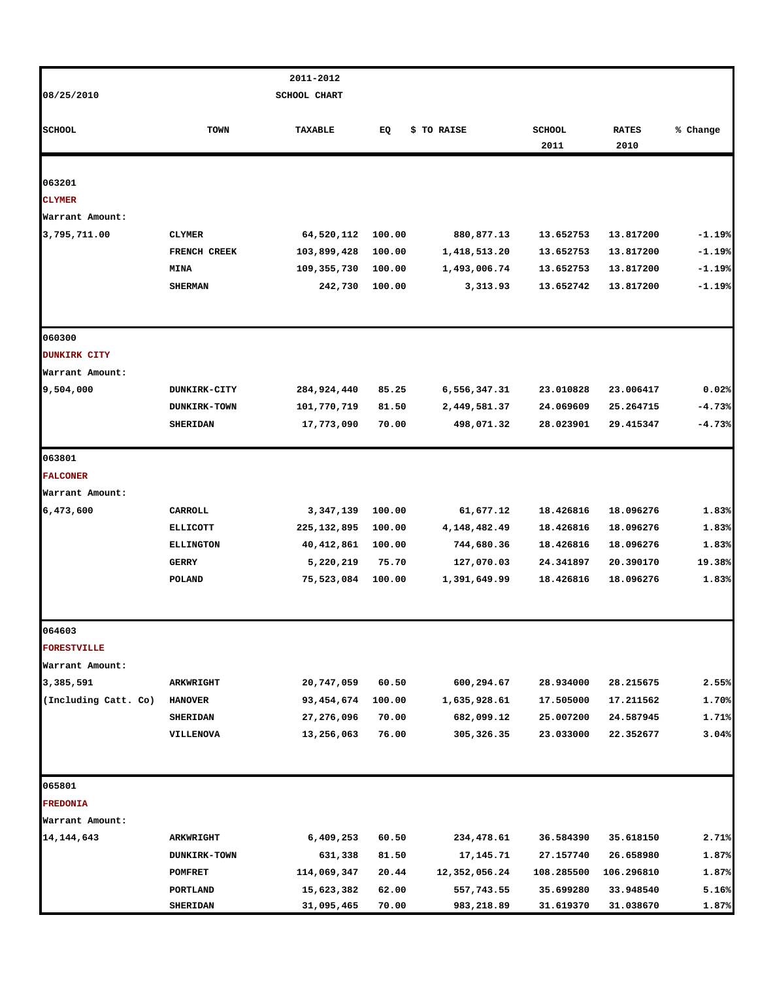|                               |                     | 2011-2012           |        |               |               |              |          |
|-------------------------------|---------------------|---------------------|--------|---------------|---------------|--------------|----------|
| 08/25/2010                    |                     | <b>SCHOOL CHART</b> |        |               |               |              |          |
|                               |                     |                     |        |               |               |              |          |
| <b>SCHOOL</b>                 | <b>TOWN</b>         | TAXABLE             | EQ     | \$ TO RAISE   | <b>SCHOOL</b> | <b>RATES</b> | % Change |
|                               |                     |                     |        |               | 2011          | 2010         |          |
|                               |                     |                     |        |               |               |              |          |
| 063201                        |                     |                     |        |               |               |              |          |
| <b>CLYMER</b>                 |                     |                     |        |               |               |              |          |
| Warrant Amount:               |                     |                     |        |               |               |              |          |
| 3,795,711.00                  | <b>CLYMER</b>       | 64,520,112          | 100.00 | 880,877.13    | 13.652753     | 13.817200    | $-1.19%$ |
|                               | FRENCH CREEK        | 103,899,428         | 100.00 | 1,418,513.20  | 13.652753     | 13.817200    | $-1.19%$ |
|                               | <b>MINA</b>         | 109,355,730         | 100.00 | 1,493,006.74  | 13.652753     | 13.817200    | $-1.19%$ |
|                               | <b>SHERMAN</b>      | 242,730             | 100.00 | 3,313.93      | 13.652742     | 13.817200    | $-1.19%$ |
|                               |                     |                     |        |               |               |              |          |
| 060300<br><b>DUNKIRK CITY</b> |                     |                     |        |               |               |              |          |
| Warrant Amount:               |                     |                     |        |               |               |              |          |
| 9,504,000                     | <b>DUNKIRK-CITY</b> | 284,924,440         | 85.25  | 6,556,347.31  | 23.010828     | 23.006417    | 0.02%    |
|                               |                     |                     | 81.50  | 2,449,581.37  | 24.069609     |              |          |
|                               | <b>DUNKIRK-TOWN</b> | 101,770,719         |        |               | 28.023901     | 25.264715    | $-4.73%$ |
|                               | <b>SHERIDAN</b>     | 17,773,090          | 70.00  | 498,071.32    |               | 29.415347    | $-4.73%$ |
| 063801                        |                     |                     |        |               |               |              |          |
| <b>FALCONER</b>               |                     |                     |        |               |               |              |          |
| Warrant Amount:               |                     |                     |        |               |               |              |          |
| 6,473,600                     | CARROLL             | 3,347,139           | 100.00 | 61,677.12     | 18.426816     | 18.096276    | 1.83%    |
|                               | <b>ELLICOTT</b>     | 225, 132, 895       | 100.00 | 4,148,482.49  | 18.426816     | 18.096276    | 1.83%    |
|                               | <b>ELLINGTON</b>    | 40, 412, 861        | 100.00 | 744,680.36    | 18.426816     | 18.096276    | 1.83%    |
|                               | GERRY               | 5,220,219           | 75.70  | 127,070.03    | 24.341897     | 20.390170    | 19.38%   |
|                               | POLAND              | 75,523,084          | 100.00 | 1,391,649.99  | 18.426816     | 18.096276    | 1.83%    |
| 064603                        |                     |                     |        |               |               |              |          |
| <b>FORESTVILLE</b>            |                     |                     |        |               |               |              |          |
| Warrant Amount:               |                     |                     |        |               |               |              |          |
| 3,385,591                     | ARKWRIGHT           | 20,747,059          | 60.50  | 600,294.67    | 28.934000     | 28.215675    | 2.55%    |
| (Including Catt. Co)          | <b>HANOVER</b>      | 93,454,674          | 100.00 | 1,635,928.61  | 17.505000     | 17.211562    | 1.70%    |
|                               | <b>SHERIDAN</b>     | 27,276,096          | 70.00  | 682,099.12    | 25.007200     | 24.587945    | 1.71%    |
|                               | VILLENOVA           | 13,256,063          | 76.00  | 305,326.35    | 23.033000     | 22.352677    | 3.04%    |
|                               |                     |                     |        |               |               |              |          |
| 065801                        |                     |                     |        |               |               |              |          |
| <b>FREDONIA</b>               |                     |                     |        |               |               |              |          |
| Warrant Amount:               |                     |                     |        |               |               |              |          |
| 14, 144, 643                  | <b>ARKWRIGHT</b>    | 6,409,253           | 60.50  | 234,478.61    | 36.584390     | 35.618150    | 2.71%    |
|                               | <b>DUNKIRK-TOWN</b> | 631,338             | 81.50  | 17,145.71     | 27.157740     | 26.658980    | 1.87%    |
|                               | <b>POMFRET</b>      | 114,069,347         | 20.44  | 12,352,056.24 | 108.285500    | 106.296810   | 1.87%    |
|                               | PORTLAND            | 15,623,382          | 62.00  | 557,743.55    | 35.699280     | 33.948540    | 5.16%    |
|                               | <b>SHERIDAN</b>     | 31,095,465          | 70.00  | 983,218.89    | 31.619370     | 31.038670    | 1.87%    |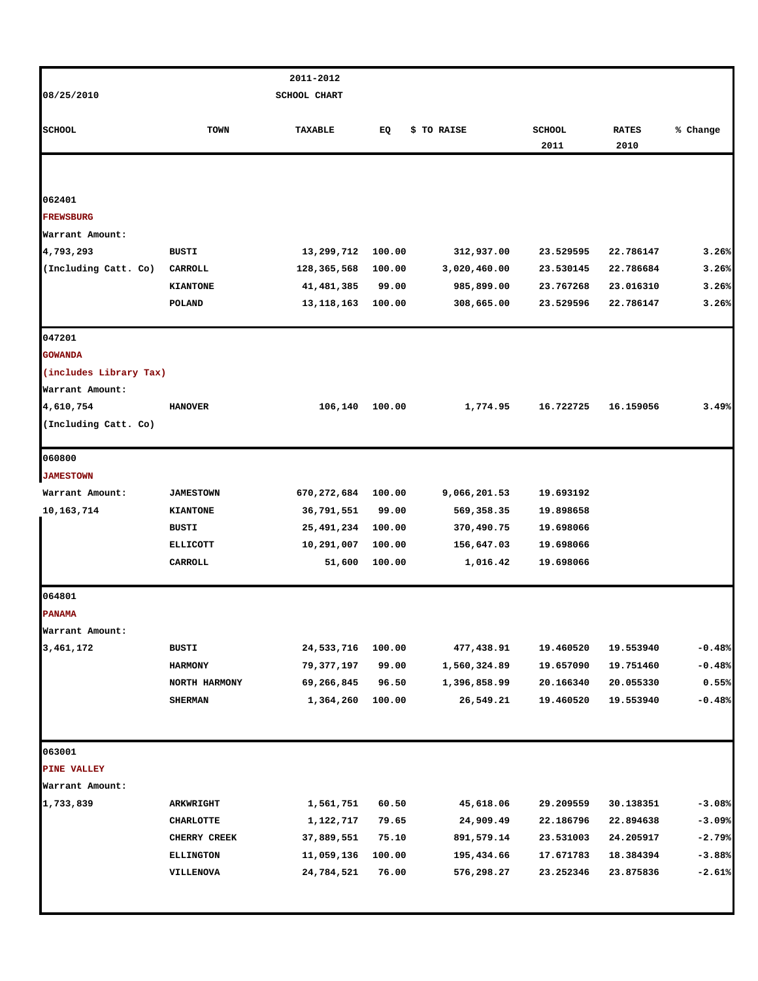|                              |                  | 2011-2012                |        |              |                       |                      |          |
|------------------------------|------------------|--------------------------|--------|--------------|-----------------------|----------------------|----------|
| 08/25/2010                   |                  | SCHOOL CHART             |        |              |                       |                      |          |
|                              |                  |                          |        |              |                       |                      |          |
| <b>SCHOOL</b>                | <b>TOWN</b>      | <b>TAXABLE</b>           | EQ     | \$ TO RAISE  | <b>SCHOOL</b><br>2011 | <b>RATES</b><br>2010 | % Change |
|                              |                  |                          |        |              |                       |                      |          |
|                              |                  |                          |        |              |                       |                      |          |
| 062401                       |                  |                          |        |              |                       |                      |          |
| <b>FREWSBURG</b>             |                  |                          |        |              |                       |                      |          |
| Warrant Amount:              |                  |                          |        |              |                       |                      |          |
| 4,793,293                    | BUSTI            | 13,299,712               | 100.00 | 312,937.00   | 23.529595             | 22.786147            | 3.26%    |
| (Including Catt. Co)         | CARROLL          | 128,365,568              | 100.00 | 3,020,460.00 | 23.530145             | 22.786684            | 3.26%    |
|                              | <b>KIANTONE</b>  | 41,481,385               | 99.00  | 985,899.00   | 23.767268             | 23.016310            | 3.26%    |
|                              | POLAND           | 13,118,163               | 100.00 | 308,665.00   | 23.529596             | 22.786147            | 3.26%    |
| 047201                       |                  |                          |        |              |                       |                      |          |
| <b>GOWANDA</b>               |                  |                          |        |              |                       |                      |          |
| (includes Library Tax)       |                  |                          |        |              |                       |                      |          |
| Warrant Amount:              |                  |                          |        |              |                       |                      |          |
| 4,610,754                    | <b>HANOVER</b>   | 106,140                  | 100.00 | 1,774.95     | 16.722725             | 16.159056            | 3.49%    |
| (Including Catt. Co)         |                  |                          |        |              |                       |                      |          |
| 060800                       |                  |                          |        |              |                       |                      |          |
| <b>JAMESTOWN</b>             |                  |                          |        |              |                       |                      |          |
| Warrant Amount:              | <b>JAMESTOWN</b> | 670,272,684              | 100.00 | 9,066,201.53 | 19.693192             |                      |          |
| 10, 163, 714                 | <b>KIANTONE</b>  | 36,791,551               | 99.00  | 569,358.35   | 19.898658             |                      |          |
|                              | BUSTI            | 25,491,234               | 100.00 | 370,490.75   | 19.698066             |                      |          |
|                              | <b>ELLICOTT</b>  | 10,291,007               | 100.00 | 156,647.03   | 19.698066             |                      |          |
|                              | CARROLL          | 51,600                   | 100.00 | 1,016.42     | 19.698066             |                      |          |
| 064801                       |                  |                          |        |              |                       |                      |          |
| <b>PANAMA</b>                |                  |                          |        |              |                       |                      |          |
|                              |                  |                          |        |              |                       |                      |          |
| Warrant Amount:<br>3,461,172 |                  |                          |        |              | 19.460520             |                      | $-0.48%$ |
|                              | BUSTI            | 24,533,716               | 100.00 | 477,438.91   |                       | 19.553940            |          |
|                              | <b>HARMONY</b>   | 79,377,197<br>69,266,845 | 99.00  | 1,560,324.89 | 19.657090             | 19.751460            | $-0.48%$ |
|                              | NORTH HARMONY    |                          | 96.50  | 1,396,858.99 | 20.166340             | 20.055330            | 0.55%    |
|                              | <b>SHERMAN</b>   | 1,364,260                | 100.00 | 26,549.21    | 19.460520             | 19.553940            | $-0.48%$ |
|                              |                  |                          |        |              |                       |                      |          |
| 063001                       |                  |                          |        |              |                       |                      |          |
| PINE VALLEY                  |                  |                          |        |              |                       |                      |          |
| Warrant Amount:              |                  |                          |        |              |                       |                      |          |
| 1,733,839                    | <b>ARKWRIGHT</b> | 1,561,751                | 60.50  | 45,618.06    | 29.209559             | 30.138351            | $-3.08%$ |
|                              | <b>CHARLOTTE</b> | 1,122,717                | 79.65  | 24,909.49    | 22.186796             | 22.894638            | $-3.09%$ |
|                              | CHERRY CREEK     | 37,889,551               | 75.10  | 891,579.14   | 23.531003             | 24.205917            | $-2.79%$ |
|                              | <b>ELLINGTON</b> | 11,059,136               | 100.00 | 195,434.66   | 17.671783             | 18.384394            | $-3.88%$ |
|                              | VILLENOVA        | 24,784,521               | 76.00  | 576,298.27   | 23.252346             | 23.875836            | $-2.61%$ |
|                              |                  |                          |        |              |                       |                      |          |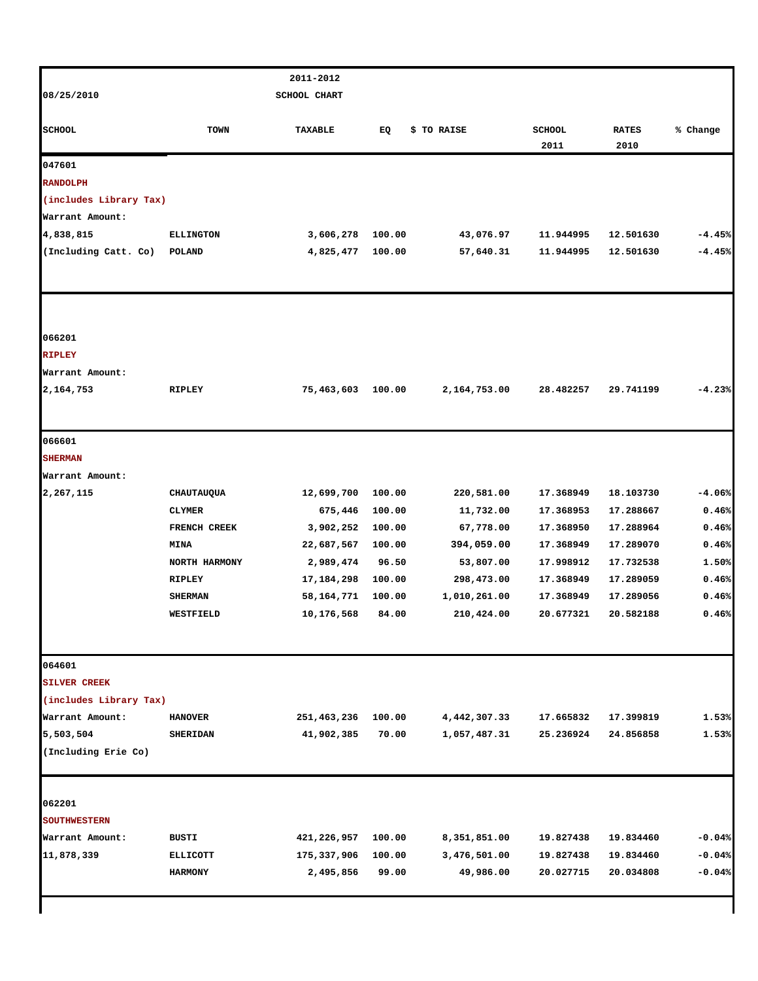|                               |                                   | 2011-2012                |        |                           |                        |                        |                      |
|-------------------------------|-----------------------------------|--------------------------|--------|---------------------------|------------------------|------------------------|----------------------|
| 08/25/2010                    |                                   | <b>SCHOOL CHART</b>      |        |                           |                        |                        |                      |
|                               |                                   |                          |        |                           |                        |                        |                      |
| <b>SCHOOL</b>                 | TOWN                              | TAXABLE                  | EQ     | \$ TO RAISE               | <b>SCHOOL</b>          | <b>RATES</b>           | % Change             |
|                               |                                   |                          |        |                           | 2011                   | 2010                   |                      |
| 047601                        |                                   |                          |        |                           |                        |                        |                      |
| <b>RANDOLPH</b>               |                                   |                          |        |                           |                        |                        |                      |
| (includes Library Tax)        |                                   |                          |        |                           |                        |                        |                      |
| Warrant Amount:               |                                   |                          |        |                           |                        |                        |                      |
| 4,838,815                     | <b>ELLINGTON</b>                  | 3,606,278                | 100.00 | 43,076.97                 | 11.944995              | 12.501630              | $-4.45%$             |
| (Including Catt. Co)          | POLAND                            | 4,825,477                | 100.00 | 57,640.31                 | 11.944995              | 12.501630              | $-4.45%$             |
|                               |                                   |                          |        |                           |                        |                        |                      |
| 066201                        |                                   |                          |        |                           |                        |                        |                      |
| <b>RIPLEY</b>                 |                                   |                          |        |                           |                        |                        |                      |
| Warrant Amount:               |                                   |                          |        |                           |                        |                        |                      |
| 2,164,753                     | RIPLEY                            | 75,463,603               | 100.00 | 2,164,753.00              | 28.482257              | 29.741199              | $-4.23%$             |
| 066601                        |                                   |                          |        |                           |                        |                        |                      |
| <b>SHERMAN</b>                |                                   |                          |        |                           |                        |                        |                      |
| Warrant Amount:               |                                   |                          |        |                           |                        |                        |                      |
| 2,267,115                     | CHAUTAUQUA                        | 12,699,700               | 100.00 | 220,581.00                | 17.368949              | 18.103730              | $-4.06%$             |
|                               | <b>CLYMER</b>                     | 675,446                  | 100.00 | 11,732.00                 | 17.368953              | 17.288667              | 0.46%                |
|                               | FRENCH CREEK                      | 3,902,252                | 100.00 | 67,778.00                 | 17.368950              | 17.288964              | 0.46%                |
|                               | <b>MINA</b>                       | 22,687,567               | 100.00 | 394,059.00                | 17.368949              | 17.289070              | 0.46%                |
|                               | NORTH HARMONY                     | 2,989,474                | 96.50  | 53,807.00                 | 17.998912              | 17.732538              | 1.50%                |
|                               | RIPLEY                            | 17,184,298               | 100.00 | 298,473.00                | 17.368949              | 17.289059              | 0.46%                |
|                               | <b>SHERMAN</b>                    | 58,164,771               | 100.00 | 1,010,261.00              | 17.368949              | 17.289056              | 0.46%                |
|                               | WESTFIELD                         | 10,176,568               | 84.00  | 210,424.00                | 20.677321              | 20.582188              | 0.46%                |
|                               |                                   |                          |        |                           |                        |                        |                      |
| 064601                        |                                   |                          |        |                           |                        |                        |                      |
| <b>SILVER CREEK</b>           |                                   |                          |        |                           |                        |                        |                      |
| (includes Library Tax)        |                                   |                          |        |                           |                        |                        |                      |
| Warrant Amount:               | <b>HANOVER</b>                    | 251,463,236              | 100.00 | 4,442,307.33              | 17.665832              | 17.399819              | 1.53%                |
| 5,503,504                     | <b>SHERIDAN</b>                   | 41,902,385               | 70.00  | 1,057,487.31              | 25.236924              | 24.856858              | 1.53%                |
| (Including Erie Co)           |                                   |                          |        |                           |                        |                        |                      |
| 062201                        |                                   |                          |        |                           |                        |                        |                      |
| <b>SOUTHWESTERN</b>           |                                   |                          |        |                           |                        |                        |                      |
|                               |                                   |                          |        |                           |                        |                        |                      |
| Warrant Amount:<br>11,878,339 | BUSTI                             | 421,226,957              | 100.00 | 8,351,851.00              | 19.827438              | 19.834460              | $-0.04%$<br>$-0.04%$ |
|                               | <b>ELLICOTT</b><br><b>HARMONY</b> | 175,337,906<br>2,495,856 | 100.00 | 3,476,501.00<br>49,986.00 | 19.827438<br>20.027715 | 19.834460<br>20.034808 | $-0.04%$             |
|                               |                                   |                          | 99.00  |                           |                        |                        |                      |